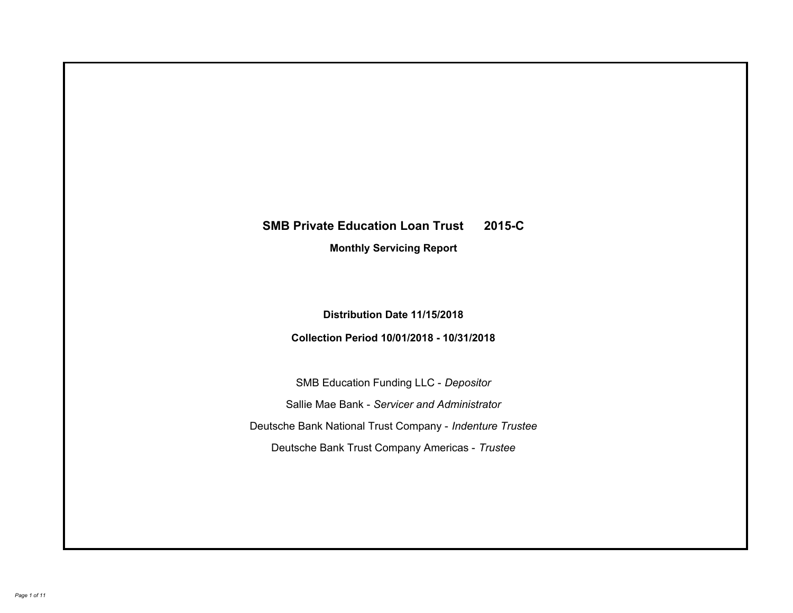# **SMB Private Education Loan Trust 2015-C Monthly Servicing Report**

# **Distribution Date 11/15/2018**

# **Collection Period 10/01/2018 - 10/31/2018**

SMB Education Funding LLC - *Depositor* Sallie Mae Bank - *Servicer and Administrator* Deutsche Bank National Trust Company - *Indenture Trustee* Deutsche Bank Trust Company Americas - *Trustee*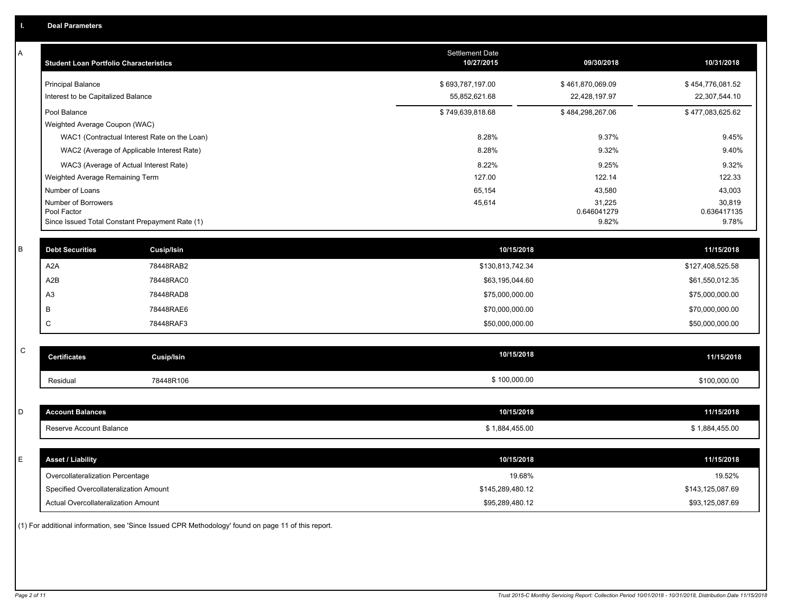| A           | <b>Student Loan Portfolio Characteristics</b>                  |                                              | <b>Settlement Date</b><br>10/27/2015 | 09/30/2018           | 10/31/2018           |
|-------------|----------------------------------------------------------------|----------------------------------------------|--------------------------------------|----------------------|----------------------|
|             | <b>Principal Balance</b>                                       |                                              | \$693,787,197.00                     | \$461,870,069.09     | \$454,776,081.52     |
|             | Interest to be Capitalized Balance                             |                                              | 55,852,621.68                        | 22,428,197.97        | 22,307,544.10        |
|             | Pool Balance                                                   |                                              | \$749,639,818.68                     | \$484,298,267.06     | \$477,083,625.62     |
|             | Weighted Average Coupon (WAC)                                  |                                              |                                      |                      |                      |
|             |                                                                | WAC1 (Contractual Interest Rate on the Loan) | 8.28%                                | 9.37%                | 9.45%                |
|             |                                                                | WAC2 (Average of Applicable Interest Rate)   | 8.28%                                | 9.32%                | 9.40%                |
|             | WAC3 (Average of Actual Interest Rate)                         |                                              | 8.22%                                | 9.25%                | 9.32%                |
|             | Weighted Average Remaining Term                                |                                              | 127.00                               | 122.14               | 122.33               |
|             | Number of Loans                                                |                                              | 65,154                               | 43,580               | 43,003               |
|             | Number of Borrowers                                            |                                              | 45,614                               | 31,225               | 30,819               |
|             | Pool Factor<br>Since Issued Total Constant Prepayment Rate (1) |                                              |                                      | 0.646041279<br>9.82% | 0.636417135<br>9.78% |
|             |                                                                |                                              |                                      |                      |                      |
| $\sf B$     | <b>Debt Securities</b>                                         | <b>Cusip/Isin</b>                            | 10/15/2018                           |                      | 11/15/2018           |
|             | A2A                                                            | 78448RAB2                                    | \$130,813,742.34                     |                      | \$127,408,525.58     |
|             | A <sub>2</sub> B                                               | 78448RAC0                                    | \$63,195,044.60                      |                      | \$61,550,012.35      |
|             | A <sub>3</sub>                                                 | 78448RAD8                                    | \$75,000,000.00                      |                      | \$75,000,000.00      |
|             | В                                                              | 78448RAE6                                    | \$70,000,000.00                      |                      | \$70,000,000.00      |
|             | C                                                              | 78448RAF3                                    | \$50,000,000.00                      |                      | \$50,000,000.00      |
| $\mathsf C$ |                                                                |                                              |                                      |                      |                      |
|             | <b>Certificates</b>                                            | <b>Cusip/Isin</b>                            | 10/15/2018                           |                      | 11/15/2018           |
|             | Residual                                                       | 78448R106                                    | \$100,000.00                         |                      | \$100,000.00         |
|             |                                                                |                                              |                                      |                      |                      |
| D           | <b>Account Balances</b>                                        |                                              | 10/15/2018                           |                      | 11/15/2018           |
|             | Reserve Account Balance                                        |                                              | \$1,884,455.00                       |                      | \$1,884,455.00       |
|             |                                                                |                                              |                                      |                      |                      |
| Ε           | <b>Asset / Liability</b>                                       |                                              | 10/15/2018                           |                      | 11/15/2018           |
|             | Overcollateralization Percentage                               |                                              | 19.68%                               |                      | 19.52%               |
|             | Specified Overcollateralization Amount                         |                                              | \$145,289,480.12                     |                      | \$143,125,087.69     |
|             | Actual Overcollateralization Amount                            |                                              | \$95,289,480.12                      |                      | \$93,125,087.69      |
|             |                                                                |                                              |                                      |                      |                      |

(1) For additional information, see 'Since Issued CPR Methodology' found on page 11 of this report.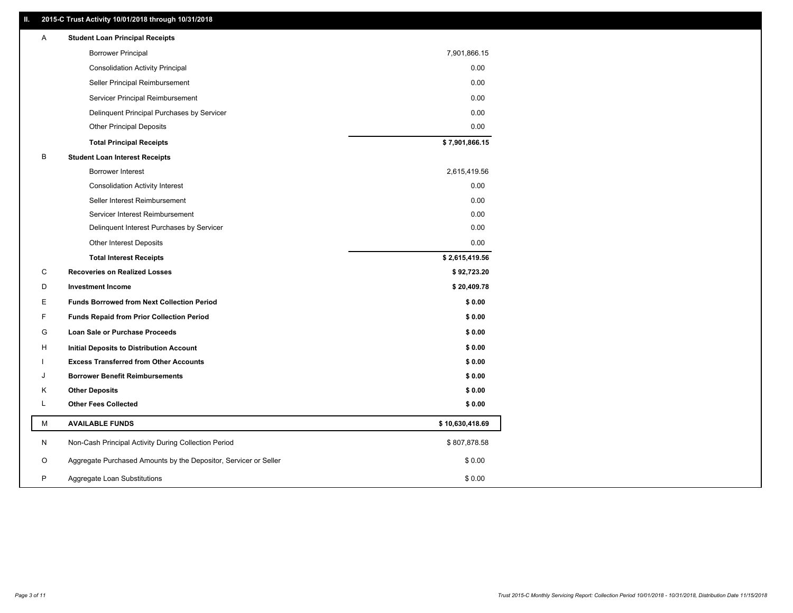### **II. 2015-C Trust Activity 10/01/2018 through 10/31/2018**

| Α | <b>Student Loan Principal Receipts</b>                           |                 |
|---|------------------------------------------------------------------|-----------------|
|   | <b>Borrower Principal</b>                                        | 7,901,866.15    |
|   | <b>Consolidation Activity Principal</b>                          | 0.00            |
|   | Seller Principal Reimbursement                                   | 0.00            |
|   | Servicer Principal Reimbursement                                 | 0.00            |
|   | Delinquent Principal Purchases by Servicer                       | 0.00            |
|   | <b>Other Principal Deposits</b>                                  | 0.00            |
|   | <b>Total Principal Receipts</b>                                  | \$7,901,866.15  |
| В | <b>Student Loan Interest Receipts</b>                            |                 |
|   | <b>Borrower Interest</b>                                         | 2,615,419.56    |
|   | <b>Consolidation Activity Interest</b>                           | 0.00            |
|   | Seller Interest Reimbursement                                    | 0.00            |
|   | Servicer Interest Reimbursement                                  | 0.00            |
|   | Delinquent Interest Purchases by Servicer                        | 0.00            |
|   | Other Interest Deposits                                          | 0.00            |
|   | <b>Total Interest Receipts</b>                                   | \$2,615,419.56  |
| С | <b>Recoveries on Realized Losses</b>                             | \$92,723.20     |
| D | <b>Investment Income</b>                                         | \$20,409.78     |
| Е | <b>Funds Borrowed from Next Collection Period</b>                | \$0.00          |
| F | <b>Funds Repaid from Prior Collection Period</b>                 | \$0.00          |
| G | Loan Sale or Purchase Proceeds                                   | \$0.00          |
| н | Initial Deposits to Distribution Account                         | \$0.00          |
|   | <b>Excess Transferred from Other Accounts</b>                    | \$0.00          |
| J | <b>Borrower Benefit Reimbursements</b>                           | \$0.00          |
| Κ | <b>Other Deposits</b>                                            | \$0.00          |
| Г | <b>Other Fees Collected</b>                                      | \$0.00          |
| М | <b>AVAILABLE FUNDS</b>                                           | \$10,630,418.69 |
| N | Non-Cash Principal Activity During Collection Period             | \$807,878.58    |
| O | Aggregate Purchased Amounts by the Depositor, Servicer or Seller | \$0.00          |
| P | Aggregate Loan Substitutions                                     | \$0.00          |
|   |                                                                  |                 |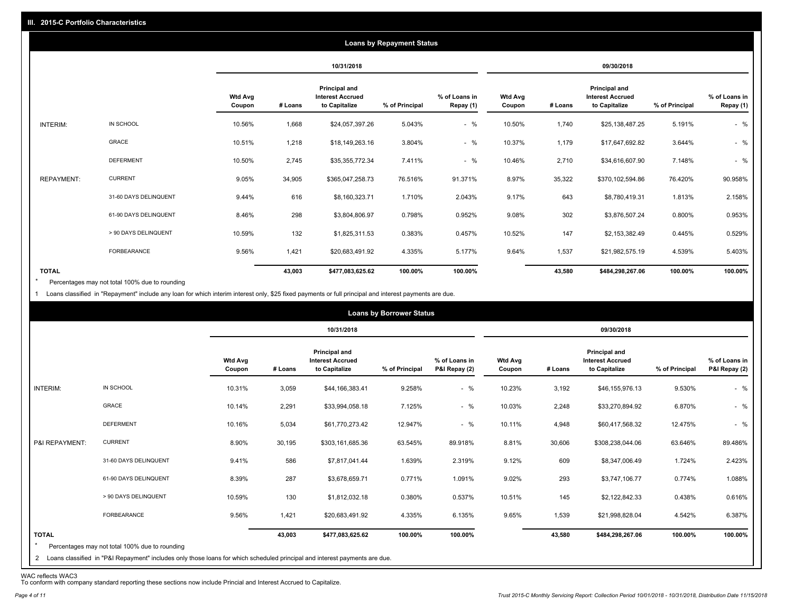|                   |                       |                          |         |                                                                  | <b>Loans by Repayment Status</b> |                            |                          |         |                                                                  |                |                            |
|-------------------|-----------------------|--------------------------|---------|------------------------------------------------------------------|----------------------------------|----------------------------|--------------------------|---------|------------------------------------------------------------------|----------------|----------------------------|
|                   |                       |                          |         | 10/31/2018                                                       |                                  |                            |                          |         | 09/30/2018                                                       |                |                            |
|                   |                       | <b>Wtd Avg</b><br>Coupon | # Loans | <b>Principal and</b><br><b>Interest Accrued</b><br>to Capitalize | % of Principal                   | % of Loans in<br>Repay (1) | <b>Wtd Avg</b><br>Coupon | # Loans | <b>Principal and</b><br><b>Interest Accrued</b><br>to Capitalize | % of Principal | % of Loans in<br>Repay (1) |
| INTERIM:          | IN SCHOOL             | 10.56%                   | 1,668   | \$24,057,397.26                                                  | 5.043%                           | $-$ %                      | 10.50%                   | 1,740   | \$25,138,487.25                                                  | 5.191%         | $-$ %                      |
|                   | <b>GRACE</b>          | 10.51%                   | 1,218   | \$18,149,263.16                                                  | 3.804%                           | $-$ %                      | 10.37%                   | 1,179   | \$17,647,692.82                                                  | 3.644%         | $-$ %                      |
|                   | <b>DEFERMENT</b>      | 10.50%                   | 2,745   | \$35,355,772.34                                                  | 7.411%                           | $-$ %                      | 10.46%                   | 2,710   | \$34,616,607.90                                                  | 7.148%         | $-$ %                      |
| <b>REPAYMENT:</b> | <b>CURRENT</b>        | 9.05%                    | 34,905  | \$365,047,258.73                                                 | 76.516%                          | 91.371%                    | 8.97%                    | 35,322  | \$370,102,594.86                                                 | 76.420%        | 90.958%                    |
|                   | 31-60 DAYS DELINQUENT | 9.44%                    | 616     | \$8,160,323.71                                                   | 1.710%                           | 2.043%                     | 9.17%                    | 643     | \$8,780,419.31                                                   | 1.813%         | 2.158%                     |
|                   | 61-90 DAYS DELINQUENT | 8.46%                    | 298     | \$3,804,806.97                                                   | 0.798%                           | 0.952%                     | 9.08%                    | 302     | \$3,876,507.24                                                   | 0.800%         | 0.953%                     |
|                   | > 90 DAYS DELINQUENT  | 10.59%                   | 132     | \$1,825,311.53                                                   | 0.383%                           | 0.457%                     | 10.52%                   | 147     | \$2,153,382.49                                                   | 0.445%         | 0.529%                     |
|                   | FORBEARANCE           | 9.56%                    | 1,421   | \$20,683,491.92                                                  | 4.335%                           | 5.177%                     | 9.64%                    | 1,537   | \$21,982,575.19                                                  | 4.539%         | 5.403%                     |
| <b>TOTAL</b>      |                       |                          | 43,003  | \$477,083,625.62                                                 | 100.00%                          | 100.00%                    |                          | 43,580  | \$484,298,267.06                                                 | 100.00%        | 100.00%                    |

Percentages may not total 100% due to rounding  $\star$ 

1 Loans classified in "Repayment" include any loan for which interim interest only, \$25 fixed payments or full principal and interest payments are due.

|                         |                                                                                                                              |                          |         |                                                           | <b>Loans by Borrower Status</b> |                                |                          |         |                                                           |                |                                |
|-------------------------|------------------------------------------------------------------------------------------------------------------------------|--------------------------|---------|-----------------------------------------------------------|---------------------------------|--------------------------------|--------------------------|---------|-----------------------------------------------------------|----------------|--------------------------------|
|                         |                                                                                                                              |                          |         | 10/31/2018                                                |                                 |                                |                          |         | 09/30/2018                                                |                |                                |
|                         |                                                                                                                              | <b>Wtd Avg</b><br>Coupon | # Loans | Principal and<br><b>Interest Accrued</b><br>to Capitalize | % of Principal                  | % of Loans in<br>P&I Repay (2) | <b>Wtd Avg</b><br>Coupon | # Loans | Principal and<br><b>Interest Accrued</b><br>to Capitalize | % of Principal | % of Loans in<br>P&I Repay (2) |
| INTERIM:                | IN SCHOOL                                                                                                                    | 10.31%                   | 3,059   | \$44,166,383.41                                           | 9.258%                          | $-$ %                          | 10.23%                   | 3,192   | \$46,155,976.13                                           | 9.530%         | $-$ %                          |
|                         | GRACE                                                                                                                        | 10.14%                   | 2,291   | \$33,994,058.18                                           | 7.125%                          | $-$ %                          | 10.03%                   | 2,248   | \$33,270,894.92                                           | 6.870%         | $-$ %                          |
|                         | <b>DEFERMENT</b>                                                                                                             | 10.16%                   | 5,034   | \$61,770,273.42                                           | 12.947%                         | $-$ %                          | 10.11%                   | 4,948   | \$60,417,568.32                                           | 12.475%        | $-$ %                          |
| P&I REPAYMENT:          | <b>CURRENT</b>                                                                                                               | 8.90%                    | 30,195  | \$303,161,685.36                                          | 63.545%                         | 89.918%                        | 8.81%                    | 30,606  | \$308,238,044.06                                          | 63.646%        | 89.486%                        |
|                         | 31-60 DAYS DELINQUENT                                                                                                        | 9.41%                    | 586     | \$7,817,041.44                                            | 1.639%                          | 2.319%                         | 9.12%                    | 609     | \$8,347,006.49                                            | 1.724%         | 2.423%                         |
|                         | 61-90 DAYS DELINQUENT                                                                                                        | 8.39%                    | 287     | \$3,678,659.71                                            | 0.771%                          | 1.091%                         | 9.02%                    | 293     | \$3,747,106.77                                            | 0.774%         | 1.088%                         |
|                         | > 90 DAYS DELINQUENT                                                                                                         | 10.59%                   | 130     | \$1,812,032.18                                            | 0.380%                          | 0.537%                         | 10.51%                   | 145     | \$2,122,842.33                                            | 0.438%         | 0.616%                         |
|                         | <b>FORBEARANCE</b>                                                                                                           | 9.56%                    | 1,421   | \$20,683,491.92                                           | 4.335%                          | 6.135%                         | 9.65%                    | 1,539   | \$21,998,828.04                                           | 4.542%         | 6.387%                         |
| <b>TOTAL</b><br>$\star$ | Percentages may not total 100% due to rounding                                                                               |                          | 43,003  | \$477,083,625.62                                          | 100.00%                         | 100.00%                        |                          | 43,580  | \$484,298,267.06                                          | 100.00%        | 100.00%                        |
|                         | 2 Loans classified in "P&I Repayment" includes only those loans for which scheduled principal and interest payments are due. |                          |         |                                                           |                                 |                                |                          |         |                                                           |                |                                |

WAC reflects WAC3 To conform with company standard reporting these sections now include Princial and Interest Accrued to Capitalize.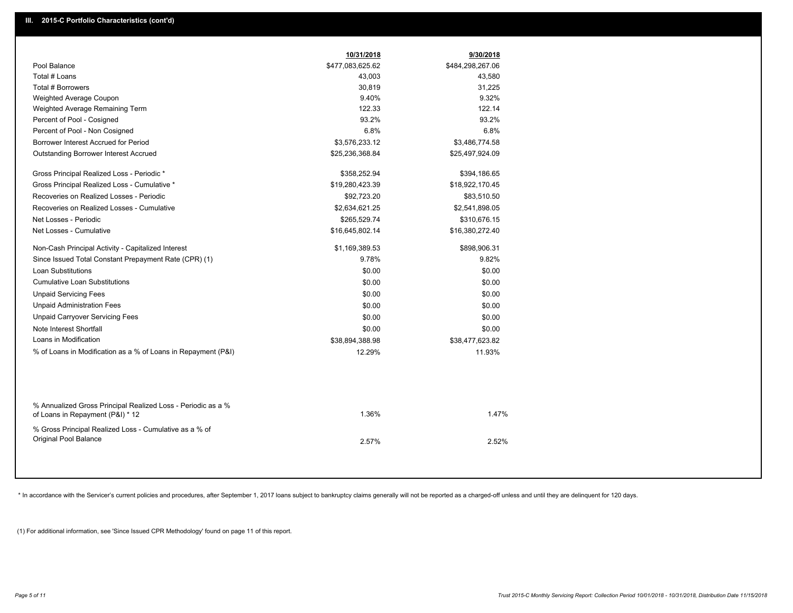|                                                                                                  | 10/31/2018       | 9/30/2018        |
|--------------------------------------------------------------------------------------------------|------------------|------------------|
| Pool Balance                                                                                     | \$477,083,625.62 | \$484,298,267.06 |
| Total # Loans                                                                                    | 43,003           | 43,580           |
| Total # Borrowers                                                                                | 30,819           | 31,225           |
| Weighted Average Coupon                                                                          | 9.40%            | 9.32%            |
| Weighted Average Remaining Term                                                                  | 122.33           | 122.14           |
| Percent of Pool - Cosigned                                                                       | 93.2%            | 93.2%            |
| Percent of Pool - Non Cosigned                                                                   | 6.8%             | 6.8%             |
| Borrower Interest Accrued for Period                                                             | \$3,576,233.12   | \$3,486,774.58   |
| <b>Outstanding Borrower Interest Accrued</b>                                                     | \$25,236,368.84  | \$25,497,924.09  |
| Gross Principal Realized Loss - Periodic *                                                       | \$358,252.94     | \$394,186.65     |
| Gross Principal Realized Loss - Cumulative *                                                     | \$19,280,423.39  | \$18,922,170.45  |
| Recoveries on Realized Losses - Periodic                                                         | \$92,723.20      | \$83,510.50      |
| Recoveries on Realized Losses - Cumulative                                                       | \$2,634,621.25   | \$2,541,898.05   |
| Net Losses - Periodic                                                                            | \$265,529.74     | \$310,676.15     |
| Net Losses - Cumulative                                                                          | \$16,645,802.14  | \$16,380,272.40  |
| Non-Cash Principal Activity - Capitalized Interest                                               | \$1,169,389.53   | \$898,906.31     |
| Since Issued Total Constant Prepayment Rate (CPR) (1)                                            | 9.78%            | 9.82%            |
| <b>Loan Substitutions</b>                                                                        | \$0.00           | \$0.00           |
| <b>Cumulative Loan Substitutions</b>                                                             | \$0.00           | \$0.00           |
| <b>Unpaid Servicing Fees</b>                                                                     | \$0.00           | \$0.00           |
| <b>Unpaid Administration Fees</b>                                                                | \$0.00           | \$0.00           |
| <b>Unpaid Carryover Servicing Fees</b>                                                           | \$0.00           | \$0.00           |
| Note Interest Shortfall                                                                          | \$0.00           | \$0.00           |
| Loans in Modification                                                                            | \$38,894,388.98  | \$38,477,623.82  |
| % of Loans in Modification as a % of Loans in Repayment (P&I)                                    | 12.29%           | 11.93%           |
|                                                                                                  |                  |                  |
| % Annualized Gross Principal Realized Loss - Periodic as a %<br>of Loans in Repayment (P&I) * 12 | 1.36%            | 1.47%            |
| % Gross Principal Realized Loss - Cumulative as a % of                                           |                  |                  |
| <b>Original Pool Balance</b>                                                                     | 2.57%            | 2.52%            |
|                                                                                                  |                  |                  |

\* In accordance with the Servicer's current policies and procedures, after September 1, 2017 loans subject to bankruptcy claims generally will not be reported as a charged-off unless and until they are delinquent for 120 d

(1) For additional information, see 'Since Issued CPR Methodology' found on page 11 of this report.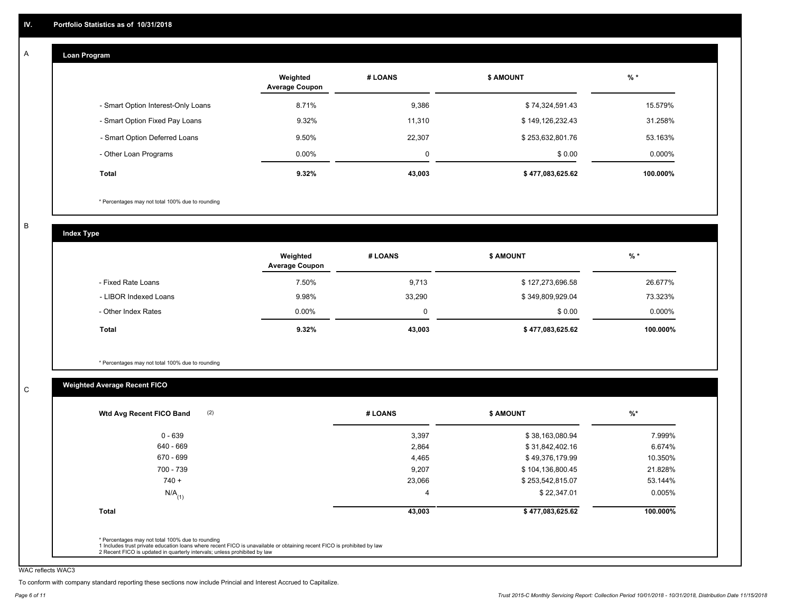#### **Loan Program**  A

|                                    | Weighted<br><b>Average Coupon</b> | # LOANS | <b>\$ AMOUNT</b> | $%$ *    |
|------------------------------------|-----------------------------------|---------|------------------|----------|
| - Smart Option Interest-Only Loans | 8.71%                             | 9,386   | \$74,324,591.43  | 15.579%  |
| - Smart Option Fixed Pay Loans     | 9.32%                             | 11.310  | \$149,126,232.43 | 31.258%  |
| - Smart Option Deferred Loans      | 9.50%                             | 22,307  | \$253,632,801.76 | 53.163%  |
| - Other Loan Programs              | $0.00\%$                          | 0       | \$0.00           | 0.000%   |
| <b>Total</b>                       | 9.32%                             | 43,003  | \$477,083,625.62 | 100.000% |

\* Percentages may not total 100% due to rounding

B

C

**Index Type**

|                       | Weighted<br><b>Average Coupon</b> | # LOANS | <b>\$ AMOUNT</b> | $%$ *     |
|-----------------------|-----------------------------------|---------|------------------|-----------|
| - Fixed Rate Loans    | 7.50%                             | 9,713   | \$127,273,696.58 | 26.677%   |
| - LIBOR Indexed Loans | 9.98%                             | 33,290  | \$349,809,929.04 | 73.323%   |
| - Other Index Rates   | $0.00\%$                          |         | \$0.00           | $0.000\%$ |
| Total                 | 9.32%                             | 43,003  | \$477,083,625.62 | 100.000%  |

\* Percentages may not total 100% due to rounding

## **Weighted Average Recent FICO**

| Wtd Avg Recent FICO Band |        |                  |          |
|--------------------------|--------|------------------|----------|
| 0 - 639                  | 3,397  | \$38,163,080.94  | 7.999%   |
| 640 - 669                | 2,864  | \$31,842,402.16  | 6.674%   |
| 670 - 699                | 4,465  | \$49,376,179.99  | 10.350%  |
| 700 - 739                | 9,207  | \$104,136,800.45 | 21.828%  |
| $740 +$                  | 23,066 | \$253,542,815.07 | 53.144%  |
| $N/A$ <sub>(1)</sub>     |        | \$22,347.01      | 0.005%   |
| <b>Total</b>             | 43,003 | \$477,083,625.62 | 100.000% |
|                          |        |                  |          |

WAC reflects WAC3

To conform with company standard reporting these sections now include Princial and Interest Accrued to Capitalize.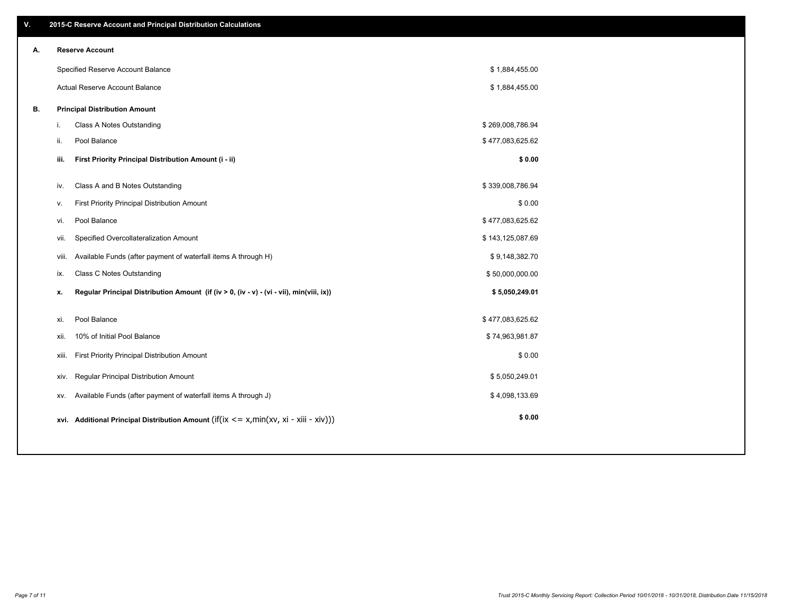| ۷. |     | 2015-C Reserve Account and Principal Distribution Calculations                             |                  |  |
|----|-----|--------------------------------------------------------------------------------------------|------------------|--|
| А. |     | <b>Reserve Account</b>                                                                     |                  |  |
|    |     | Specified Reserve Account Balance                                                          | \$1,884,455.00   |  |
|    |     | Actual Reserve Account Balance                                                             | \$1,884,455.00   |  |
| В. |     | <b>Principal Distribution Amount</b>                                                       |                  |  |
|    | j.  | Class A Notes Outstanding                                                                  | \$269,008,786.94 |  |
|    | ii. | Pool Balance                                                                               | \$477,083,625.62 |  |
|    |     | First Priority Principal Distribution Amount (i - ii)<br>iii.                              | \$0.00           |  |
|    |     |                                                                                            |                  |  |
|    | iv. | Class A and B Notes Outstanding                                                            | \$339,008,786.94 |  |
|    | v.  | First Priority Principal Distribution Amount                                               | \$0.00           |  |
|    | vi. | Pool Balance                                                                               | \$477,083,625.62 |  |
|    |     | Specified Overcollateralization Amount<br>vii.                                             | \$143,125,087.69 |  |
|    |     | Available Funds (after payment of waterfall items A through H)<br>viii.                    | \$9,148,382.70   |  |
|    |     | <b>Class C Notes Outstanding</b><br>ix.                                                    | \$50,000,000.00  |  |
|    | x.  | Regular Principal Distribution Amount (if (iv > 0, (iv - v) - (vi - vii), min(viii, ix))   | \$5,050,249.01   |  |
|    |     |                                                                                            |                  |  |
|    | xi. | Pool Balance                                                                               | \$477,083,625.62 |  |
|    |     | 10% of Initial Pool Balance<br>xii.                                                        | \$74,963,981.87  |  |
|    |     | First Priority Principal Distribution Amount<br>xiii.                                      | \$0.00           |  |
|    |     | Regular Principal Distribution Amount<br>XIV.                                              | \$5,050,249.01   |  |
|    |     | Available Funds (after payment of waterfall items A through J)<br>XV.                      | \$4,098,133.69   |  |
|    |     | xvi. Additional Principal Distribution Amount (if(ix $\lt$ = x, min(xv, xi - xiii - xiv))) | \$0.00           |  |
|    |     |                                                                                            |                  |  |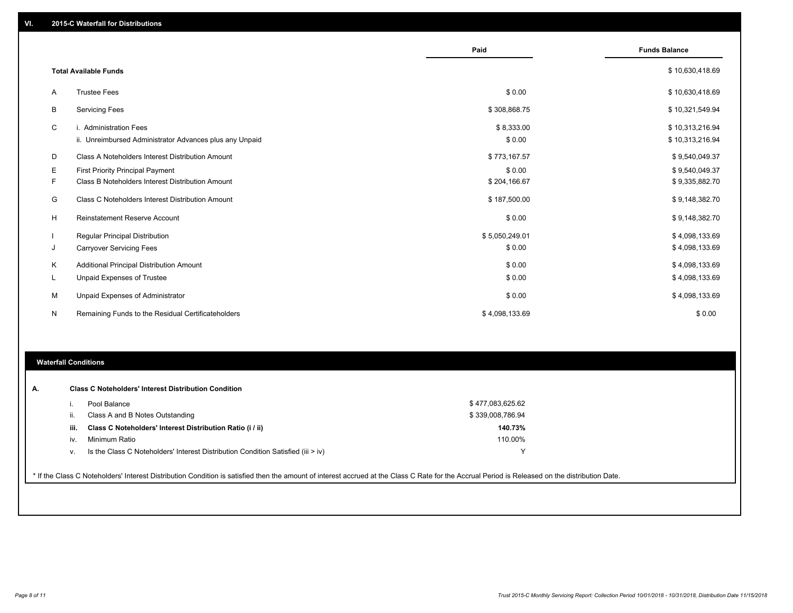|   |                                                         | Paid           | <b>Funds Balance</b> |
|---|---------------------------------------------------------|----------------|----------------------|
|   | <b>Total Available Funds</b>                            |                | \$10,630,418.69      |
|   |                                                         |                |                      |
| A | <b>Trustee Fees</b>                                     | \$0.00         | \$10,630,418.69      |
| В | <b>Servicing Fees</b>                                   | \$308,868.75   | \$10,321,549.94      |
| C | i. Administration Fees                                  | \$8,333.00     | \$10,313,216.94      |
|   | ii. Unreimbursed Administrator Advances plus any Unpaid | \$0.00         | \$10,313,216.94      |
| D | Class A Noteholders Interest Distribution Amount        | \$773,167.57   | \$9,540,049.37       |
| Е | <b>First Priority Principal Payment</b>                 | \$0.00         | \$9,540,049.37       |
| F | Class B Noteholders Interest Distribution Amount        | \$204,166.67   | \$9,335,882.70       |
| G | Class C Noteholders Interest Distribution Amount        | \$187,500.00   | \$9,148,382.70       |
| H | Reinstatement Reserve Account                           | \$0.00         | \$9,148,382.70       |
|   | <b>Regular Principal Distribution</b>                   | \$5,050,249.01 | \$4,098,133.69       |
| J | <b>Carryover Servicing Fees</b>                         | \$0.00         | \$4,098,133.69       |
| Κ | Additional Principal Distribution Amount                | \$0.00         | \$4,098,133.69       |
| L | Unpaid Expenses of Trustee                              | \$0.00         | \$4,098,133.69       |
| м | Unpaid Expenses of Administrator                        | \$0.00         | \$4,098,133.69       |
| N | Remaining Funds to the Residual Certificateholders      | \$4,098,133.69 | \$0.00               |
|   |                                                         |                |                      |
|   |                                                         |                |                      |

### **Waterfall Conditions**

| А. |      | <b>Class C Noteholders' Interest Distribution Condition</b>                                                                                                                                     |                  |  |
|----|------|-------------------------------------------------------------------------------------------------------------------------------------------------------------------------------------------------|------------------|--|
|    |      | Pool Balance                                                                                                                                                                                    | \$477,083,625.62 |  |
|    | Ш.   | Class A and B Notes Outstanding                                                                                                                                                                 | \$339,008,786.94 |  |
|    | iii. | Class C Noteholders' Interest Distribution Ratio (i / ii)                                                                                                                                       | 140.73%          |  |
|    | IV.  | Minimum Ratio                                                                                                                                                                                   | 110.00%          |  |
|    | v.   | Is the Class C Noteholders' Interest Distribution Condition Satisfied (iii $>$ iv)                                                                                                              |                  |  |
|    |      |                                                                                                                                                                                                 |                  |  |
|    |      | * If the Class C Noteholders' Interest Distribution Condition is satisfied then the amount of interest accrued at the Class C Rate for the Accrual Period is Released on the distribution Date. |                  |  |
|    |      |                                                                                                                                                                                                 |                  |  |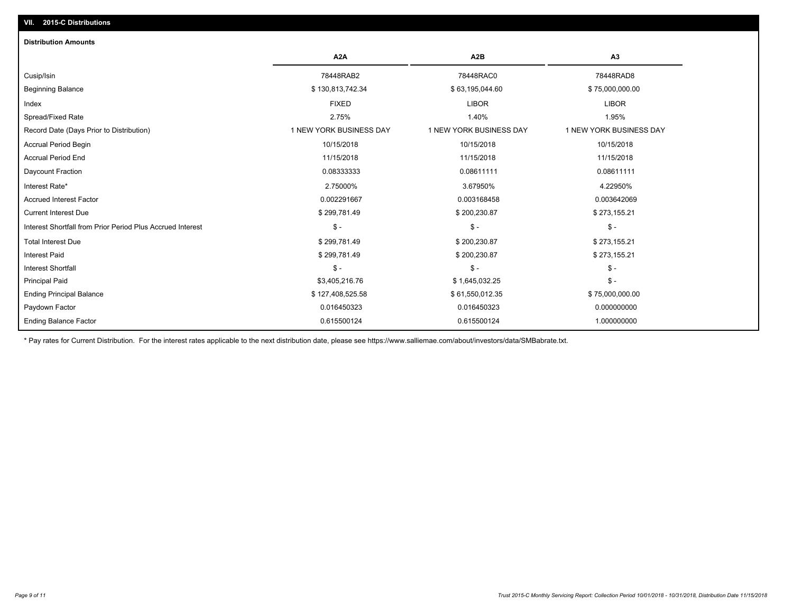# **VII. 2015-C Distributions**

| <b>Distribution Amounts</b>                                |                         |                         |                         |
|------------------------------------------------------------|-------------------------|-------------------------|-------------------------|
|                                                            | A <sub>2</sub> A        | A <sub>2</sub> B        | A3                      |
| Cusip/Isin                                                 | 78448RAB2               | 78448RAC0               | 78448RAD8               |
| <b>Beginning Balance</b>                                   | \$130,813,742.34        | \$63,195,044.60         | \$75,000,000.00         |
| Index                                                      | <b>FIXED</b>            | <b>LIBOR</b>            | <b>LIBOR</b>            |
| Spread/Fixed Rate                                          | 2.75%                   | 1.40%                   | 1.95%                   |
| Record Date (Days Prior to Distribution)                   | 1 NEW YORK BUSINESS DAY | 1 NEW YORK BUSINESS DAY | 1 NEW YORK BUSINESS DAY |
| Accrual Period Begin                                       | 10/15/2018              | 10/15/2018              | 10/15/2018              |
| <b>Accrual Period End</b>                                  | 11/15/2018              | 11/15/2018              | 11/15/2018              |
| Daycount Fraction                                          | 0.08333333              | 0.08611111              | 0.08611111              |
| Interest Rate*                                             | 2.75000%                | 3.67950%                | 4.22950%                |
| <b>Accrued Interest Factor</b>                             | 0.002291667             | 0.003168458             | 0.003642069             |
| <b>Current Interest Due</b>                                | \$299,781.49            | \$200,230.87            | \$273,155.21            |
| Interest Shortfall from Prior Period Plus Accrued Interest | $\mathsf{\$}$ -         | $\frac{1}{2}$           | $\frac{1}{2}$           |
| <b>Total Interest Due</b>                                  | \$299,781.49            | \$200,230.87            | \$273,155.21            |
| <b>Interest Paid</b>                                       | \$299,781.49            | \$200,230.87            | \$273,155.21            |
| Interest Shortfall                                         | $$ -$                   | $\mathsf{\$}$ -         | \$ -                    |
| <b>Principal Paid</b>                                      | \$3,405,216.76          | \$1,645,032.25          | $$ -$                   |
| <b>Ending Principal Balance</b>                            | \$127,408,525.58        | \$61,550,012.35         | \$75,000,000.00         |
| Paydown Factor                                             | 0.016450323             | 0.016450323             | 0.000000000             |
| <b>Ending Balance Factor</b>                               | 0.615500124             | 0.615500124             | 1.000000000             |

\* Pay rates for Current Distribution. For the interest rates applicable to the next distribution date, please see https://www.salliemae.com/about/investors/data/SMBabrate.txt.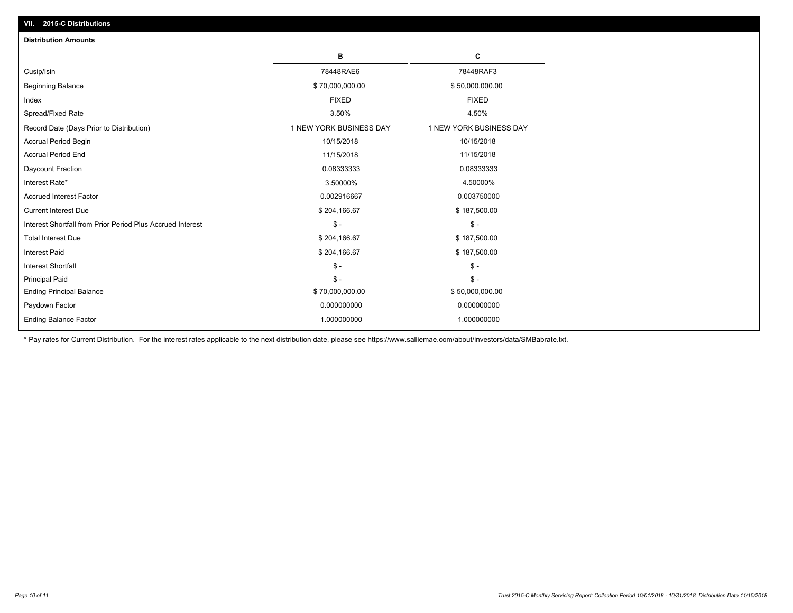| <b>Distribution Amounts</b>                                |                         |                         |
|------------------------------------------------------------|-------------------------|-------------------------|
|                                                            | в                       | C                       |
| Cusip/Isin                                                 | 78448RAE6               | 78448RAF3               |
| <b>Beginning Balance</b>                                   | \$70,000,000.00         | \$50,000,000.00         |
| Index                                                      | <b>FIXED</b>            | <b>FIXED</b>            |
| Spread/Fixed Rate                                          | 3.50%                   | 4.50%                   |
| Record Date (Days Prior to Distribution)                   | 1 NEW YORK BUSINESS DAY | 1 NEW YORK BUSINESS DAY |
| <b>Accrual Period Begin</b>                                | 10/15/2018              | 10/15/2018              |
| <b>Accrual Period End</b>                                  | 11/15/2018              | 11/15/2018              |
| Daycount Fraction                                          | 0.08333333              | 0.08333333              |
| Interest Rate*                                             | 3.50000%                | 4.50000%                |
| <b>Accrued Interest Factor</b>                             | 0.002916667             | 0.003750000             |
| <b>Current Interest Due</b>                                | \$204,166.67            | \$187,500.00            |
| Interest Shortfall from Prior Period Plus Accrued Interest | $\mathsf{\$}$ -         | $\mathsf{\$}$ -         |
| <b>Total Interest Due</b>                                  | \$204,166.67            | \$187,500.00            |
| <b>Interest Paid</b>                                       | \$204,166.67            | \$187,500.00            |
| <b>Interest Shortfall</b>                                  | $\mathsf{\$}$ -         | $\mathsf{\$}$ -         |
| <b>Principal Paid</b>                                      | $\mathsf{\$}$ -         | $\mathsf{\$}$ -         |
| <b>Ending Principal Balance</b>                            | \$70,000,000.00         | \$50,000,000.00         |
| Paydown Factor                                             | 0.000000000             | 0.000000000             |
| <b>Ending Balance Factor</b>                               | 1.000000000             | 1.000000000             |

\* Pay rates for Current Distribution. For the interest rates applicable to the next distribution date, please see https://www.salliemae.com/about/investors/data/SMBabrate.txt.

**VII. 2015-C Distributions**